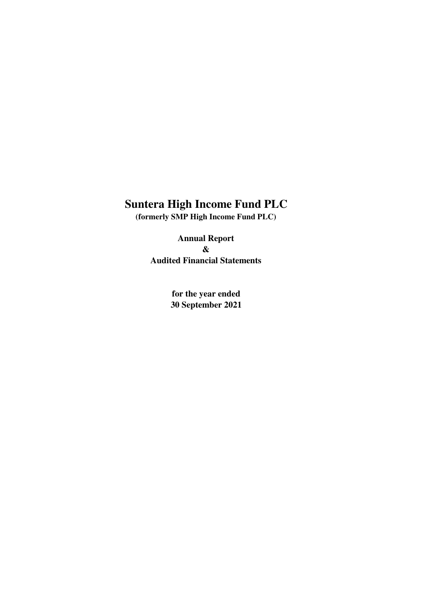**(formerly SMP High Income Fund PLC)**

**Audited Financial Statements & Annual Report**

> **for the year ended 30 September 2021**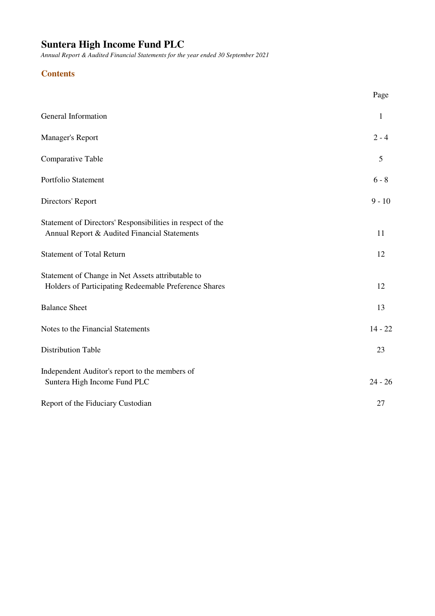*Annual Report & Audited Financial Statements for the year ended 30 September 2021*

# **Contents**

|                                                                                                            | Page      |
|------------------------------------------------------------------------------------------------------------|-----------|
| General Information                                                                                        | 1         |
| <b>Manager's Report</b>                                                                                    | $2 - 4$   |
| Comparative Table                                                                                          | 5         |
| Portfolio Statement                                                                                        | $6 - 8$   |
| Directors' Report                                                                                          | $9 - 10$  |
| Statement of Directors' Responsibilities in respect of the<br>Annual Report & Audited Financial Statements | 11        |
| <b>Statement of Total Return</b>                                                                           | 12        |
| Statement of Change in Net Assets attributable to<br>Holders of Participating Redeemable Preference Shares | 12        |
| <b>Balance Sheet</b>                                                                                       | 13        |
| Notes to the Financial Statements                                                                          | $14 - 22$ |
| <b>Distribution Table</b>                                                                                  | 23        |
| Independent Auditor's report to the members of<br>Suntera High Income Fund PLC                             | $24 - 26$ |
| Report of the Fiduciary Custodian                                                                          | 27        |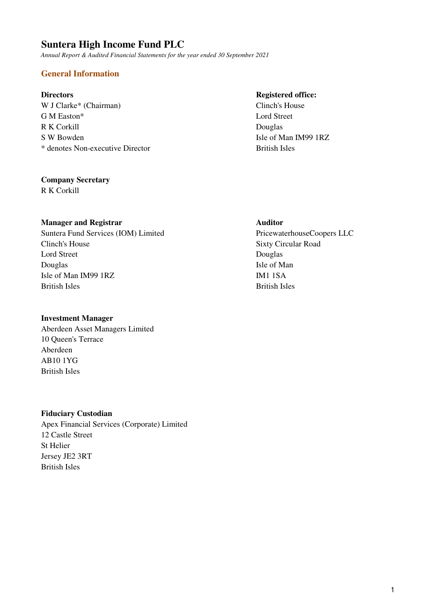*Annual Report & Audited Financial Statements for the year ended 30 September 2021*

# **General Information**

W J Clarke\* (Chairman) Clinch's House G M Easton\* Lord Street R K Corkill Douglas S W Bowden Isle of Man IM99 1RZ \* denotes Non-executive Director British Isles

### **Company Secretary**

R K Corkill

# **Manager and Registrar Auditor Auditor**

Suntera Fund Services (IOM) Limited PricewaterhouseCoopers LLC Clinch's House Sixty Circular Road Lord Street Douglas Douglas Isle of Man Isle of Man IM99 1RZ IM1 1SA British Isles British Isles

### **Investment Manager**

Aberdeen Asset Managers Limited 10 Queen's Terrace Aberdeen AB10 1YG British Isles

### **Fiduciary Custodian**

Apex Financial Services (Corporate) Limited 12 Castle Street St Helier Jersey JE2 3RT British Isles

### **Directors** Registered office: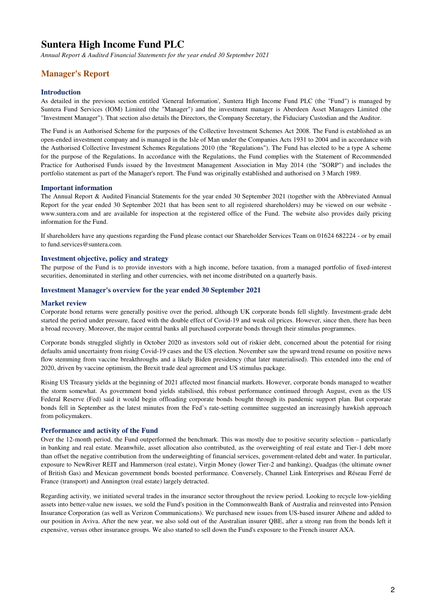*Annual Report & Audited Financial Statements for the year ended 30 September 2021*

## **Manager's Report**

#### **Introduction**

As detailed in the previous section entitled 'General Information', Suntera High Income Fund PLC (the "Fund") is managed by Suntera Fund Services (IOM) Limited (the "Manager") and the investment manager is Aberdeen Asset Managers Limited (the "Investment Manager"). That section also details the Directors, the Company Secretary, the Fiduciary Custodian and the Auditor.

The Fund is an Authorised Scheme for the purposes of the Collective Investment Schemes Act 2008. The Fund is established as an open-ended investment company and is managed in the Isle of Man under the Companies Acts 1931 to 2004 and in accordance with the Authorised Collective Investment Schemes Regulations 2010 (the "Regulations"). The Fund has elected to be a type A scheme for the purpose of the Regulations. In accordance with the Regulations, the Fund complies with the Statement of Recommended Practice for Authorised Funds issued by the Investment Management Association in May 2014 (the "SORP") and includes the portfolio statement as part of the Manager's report. The Fund was originally established and authorised on 3 March 1989.

#### **Important information**

The Annual Report & Audited Financial Statements for the year ended 30 September 2021 (together with the Abbreviated Annual Report for the year ended 30 September 2021 that has been sent to all registered shareholders) may be viewed on our website www.suntera.com and are available for inspection at the registered office of the Fund. The website also provides daily pricing information for the Fund.

If shareholders have any questions regarding the Fund please contact our Shareholder Services Team on 01624 682224 - or by email to fund.services@suntera.com.

#### **Investment objective, policy and strategy**

The purpose of the Fund is to provide investors with a high income, before taxation, from a managed portfolio of fixed-interest securities, denominated in sterling and other currencies, with net income distributed on a quarterly basis.

#### **Investment Manager's overview for the year ended 30 September 2021**

#### **Market review**

Corporate bond returns were generally positive over the period, although UK corporate bonds fell slightly. Investment-grade debt started the period under pressure, faced with the double effect of Covid-19 and weak oil prices. However, since then, there has been a broad recovery. Moreover, the major central banks all purchased corporate bonds through their stimulus programmes.

Corporate bonds struggled slightly in October 2020 as investors sold out of riskier debt, concerned about the potential for rising defaults amid uncertainty from rising Covid-19 cases and the US election. November saw the upward trend resume on positive news flow stemming from vaccine breakthroughs and a likely Biden presidency (that later materialised). This extended into the end of 2020, driven by vaccine optimism, the Brexit trade deal agreement and US stimulus package.

Rising US Treasury yields at the beginning of 2021 affected most financial markets. However, corporate bonds managed to weather the storm somewhat. As government bond yields stabilised, this robust performance continued through August, even as the US Federal Reserve (Fed) said it would begin offloading corporate bonds bought through its pandemic support plan. But corporate bonds fell in September as the latest minutes from the Fed's rate-setting committee suggested an increasingly hawkish approach from policymakers.

#### **Performance and activity of the Fund**

Over the 12-month period, the Fund outperformed the benchmark. This was mostly due to positive security selection – particularly in banking and real estate. Meanwhile, asset allocation also contributed, as the overweighting of real estate and Tier-1 debt more than offset the negative contribution from the underweighting of financial services, government-related debt and water. In particular, exposure to NewRiver REIT and Hammerson (real estate), Virgin Money (lower Tier-2 and banking), Quadgas (the ultimate owner of British Gas) and Mexican government bonds boosted performance. Conversely, Channel Link Enterprises and Réseau Ferré de France (transport) and Annington (real estate) largely detracted.

Regarding activity, we initiated several trades in the insurance sector throughout the review period. Looking to recycle low-yielding assets into better-value new issues, we sold the Fund's position in the Commonwealth Bank of Australia and reinvested into Pension Insurance Corporation (as well as Verizon Communications). We purchased new issues from US-based insurer Athene and added to our position in Aviva. After the new year, we also sold out of the Australian insurer QBE, after a strong run from the bonds left it expensive, versus other insurance groups. We also started to sell down the Fund's exposure to the French insurer AXA.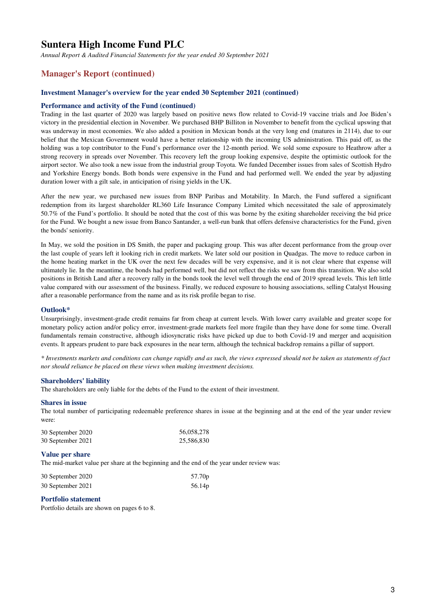*Annual Report & Audited Financial Statements for the year ended 30 September 2021*

### **Manager's Report (continued)**

#### **Investment Manager's overview for the year ended 30 September 2021 (continued)**

#### **Performance and activity of the Fund (continued)**

Trading in the last quarter of 2020 was largely based on positive news flow related to Covid-19 vaccine trials and Joe Biden's victory in the presidential election in November. We purchased BHP Billiton in November to benefit from the cyclical upswing that was underway in most economies. We also added a position in Mexican bonds at the very long end (matures in 2114), due to our belief that the Mexican Government would have a better relationship with the incoming US administration. This paid off, as the holding was a top contributor to the Fund's performance over the 12-month period. We sold some exposure to Heathrow after a strong recovery in spreads over November. This recovery left the group looking expensive, despite the optimistic outlook for the airport sector. We also took a new issue from the industrial group Toyota. We funded December issues from sales of Scottish Hydro and Yorkshire Energy bonds. Both bonds were expensive in the Fund and had performed well. We ended the year by adjusting duration lower with a gilt sale, in anticipation of rising yields in the UK.

After the new year, we purchased new issues from BNP Paribas and Motability. In March, the Fund suffered a significant redemption from its largest shareholder RL360 Life Insurance Company Limited which necessitated the sale of approximately 50.7% of the Fund's portfolio. It should be noted that the cost of this was borne by the exiting shareholder receiving the bid price for the Fund. We bought a new issue from Banco Santander, a well-run bank that offers defensive characteristics for the Fund, given the bonds' seniority.

In May, we sold the position in DS Smith, the paper and packaging group. This was after decent performance from the group over the last couple of years left it looking rich in credit markets. We later sold our position in Quadgas. The move to reduce carbon in the home heating market in the UK over the next few decades will be very expensive, and it is not clear where that expense will ultimately lie. In the meantime, the bonds had performed well, but did not reflect the risks we saw from this transition. We also sold positions in British Land after a recovery rally in the bonds took the level well through the end of 2019 spread levels. This left little value compared with our assessment of the business. Finally, we reduced exposure to housing associations, selling Catalyst Housing after a reasonable performance from the name and as its risk profile began to rise.

#### **Outlook\***

Unsurprisingly, investment-grade credit remains far from cheap at current levels. With lower carry available and greater scope for monetary policy action and/or policy error, investment-grade markets feel more fragile than they have done for some time. Overall fundamentals remain constructive, although idiosyncratic risks have picked up due to both Covid-19 and merger and acquisition events. It appears prudent to pare back exposures in the near term, although the technical backdrop remains a pillar of support.

*\* Investments markets and conditions can change rapidly and as such, the views expressed should not be taken as statements of fact nor should reliance be placed on these views when making investment decisions.*

#### **Shareholders' liability**

The shareholders are only liable for the debts of the Fund to the extent of their investment.

#### **Shares in issue**

The total number of participating redeemable preference shares in issue at the beginning and at the end of the year under review were:

| 30 September 2020 | 56,058,278 |
|-------------------|------------|
| 30 September 2021 | 25,586,830 |

#### **Value per share**

The mid-market value per share at the beginning and the end of the year under review was:

| 30 September 2020 | 57.70 <sub>p</sub> |
|-------------------|--------------------|
| 30 September 2021 | 56.14p             |

### **Portfolio statement**

Portfolio details are shown on pages 6 to 8.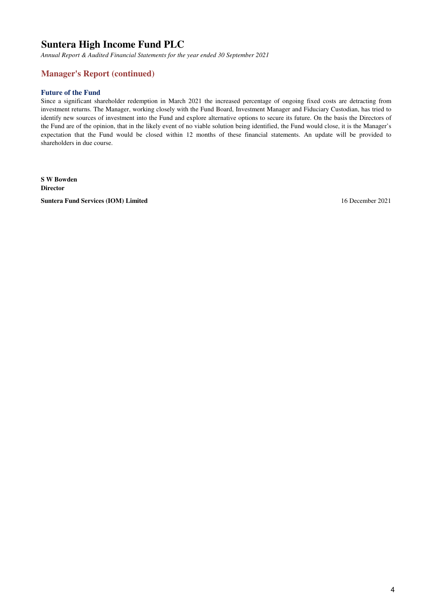*Annual Report & Audited Financial Statements for the year ended 30 September 2021*

## **Manager's Report (continued)**

#### **Future of the Fund**

Since a significant shareholder redemption in March 2021 the increased percentage of ongoing fixed costs are detracting from investment returns. The Manager, working closely with the Fund Board, Investment Manager and Fiduciary Custodian, has tried to identify new sources of investment into the Fund and explore alternative options to secure its future. On the basis the Directors of the Fund are of the opinion, that in the likely event of no viable solution being identified, the Fund would close, it is the Manager's expectation that the Fund would be closed within 12 months of these financial statements. An update will be provided to shareholders in due course.

**S W Bowden Director Suntera Fund Services (IOM) Limited** 16 December 2021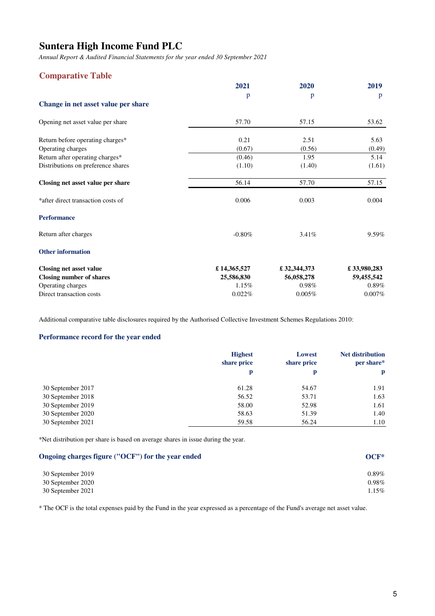*Annual Report & Audited Financial Statements for the year ended 30 September 2021*

### **Comparative Table**

|                                     | 2021        | 2020        | 2019        |
|-------------------------------------|-------------|-------------|-------------|
|                                     | p           | p           | p           |
| Change in net asset value per share |             |             |             |
| Opening net asset value per share   | 57.70       | 57.15       | 53.62       |
| Return before operating charges*    | 0.21        | 2.51        | 5.63        |
| Operating charges                   | (0.67)      | (0.56)      | (0.49)      |
| Return after operating charges*     | (0.46)      | 1.95        | 5.14        |
| Distributions on preference shares  | (1.10)      | (1.40)      | (1.61)      |
| Closing net asset value per share   | 56.14       | 57.70       | 57.15       |
| *after direct transaction costs of  | 0.006       | 0.003       | 0.004       |
| <b>Performance</b>                  |             |             |             |
| Return after charges                | $-0.80%$    | 3.41%       | 9.59%       |
| <b>Other information</b>            |             |             |             |
| Closing net asset value             | £14,365,527 | £32,344,373 | £33,980,283 |
| <b>Closing number of shares</b>     | 25,586,830  | 56,058,278  | 59,455,542  |
| Operating charges                   | 1.15%       | 0.98%       | 0.89%       |
| Direct transaction costs            | 0.022%      | 0.005%      | 0.007%      |

Additional comparative table disclosures required by the Authorised Collective Investment Schemes Regulations 2010:

#### **Performance record for the year ended**

|                   | <b>Highest</b><br>share price | Lowest<br>share price | <b>Net distribution</b><br>per share* |
|-------------------|-------------------------------|-----------------------|---------------------------------------|
|                   | p                             | p                     | p                                     |
| 30 September 2017 | 61.28                         | 54.67                 | 1.91                                  |
| 30 September 2018 | 56.52                         | 53.71                 | 1.63                                  |
| 30 September 2019 | 58.00                         | 52.98                 | 1.61                                  |
| 30 September 2020 | 58.63                         | 51.39                 | 1.40                                  |
| 30 September 2021 | 59.58                         | 56.24                 | 1.10                                  |

\*Net distribution per share is based on average shares in issue during the year.

| Ongoing charges figure ("OCF") for the year ended | $OCF*$ |
|---------------------------------------------------|--------|
| 30 September 2019                                 | 0.89%  |
| 30 September 2020                                 | 0.98%  |
| 30 September 2021                                 | 1.15%  |

\* The OCF is the total expenses paid by the Fund in the year expressed as a percentage of the Fund's average net asset value.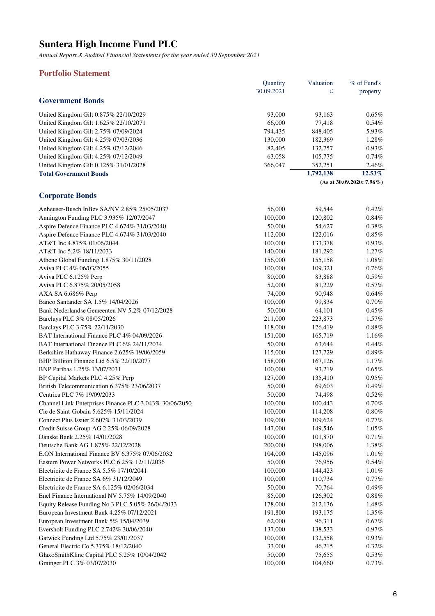*Annual Report & Audited Financial Statements for the year ended 30 September 2021*

### **Portfolio Statement**

|                                       | <b>Quantity</b> | Valuation | $%$ of Fund's                |
|---------------------------------------|-----------------|-----------|------------------------------|
|                                       | 30.09.2021      | £         | property                     |
| <b>Government Bonds</b>               |                 |           |                              |
| United Kingdom Gilt 0.875% 22/10/2029 | 93,000          | 93.163    | $0.65\%$                     |
| United Kingdom Gilt 1.625% 22/10/2071 | 66,000          | 77.418    | $0.54\%$                     |
| United Kingdom Gilt 2.75% 07/09/2024  | 794.435         | 848,405   | 5.93%                        |
| United Kingdom Gilt 4.25% 07/03/2036  | 130,000         | 182,369   | 1.28%                        |
| United Kingdom Gilt 4.25% 07/12/2046  | 82,405          | 132,757   | 0.93%                        |
| United Kingdom Gilt 4.25% 07/12/2049  | 63,058          | 105,775   | 0.74%                        |
| United Kingdom Gilt 0.125% 31/01/2028 | 366,047         | 352.251   | 2.46%                        |
| <b>Total Government Bonds</b>         |                 | 1,792,138 | $12.53\%$                    |
|                                       |                 |           | $(As at 30.09.2020: 7.96\%)$ |

### **Corporate Bonds**

| Anheuser-Busch InBev SA/NV 2.85% 25/05/2037            | 56,000  | 59,544            | 0.42%    |
|--------------------------------------------------------|---------|-------------------|----------|
| Annington Funding PLC 3.935% 12/07/2047                | 100,000 | 120,802           | 0.84%    |
| Aspire Defence Finance PLC 4.674% 31/03/2040           | 50,000  | 54,627            | 0.38%    |
| Aspire Defence Finance PLC 4.674% 31/03/2040           | 112,000 | 122,016           | $0.85\%$ |
| AT&T Inc 4.875% 01/06/2044                             | 100,000 | 133,378           | 0.93%    |
| AT&T Inc 5.2% 18/11/2033                               | 140,000 | 181,292           | 1.27%    |
| Athene Global Funding 1.875% 30/11/2028                | 156,000 | 155,158           | 1.08%    |
| Aviva PLC 4% 06/03/2055                                | 100,000 | 109,321           | 0.76%    |
| Aviva PLC 6.125% Perp                                  | 80,000  | 83,888            | 0.59%    |
| Aviva PLC 6.875% 20/05/2058                            | 52,000  | 81,229            | 0.57%    |
| AXA SA 6.686% Perp                                     | 74,000  | 90,948            | 0.64%    |
| Banco Santander SA 1.5% 14/04/2026                     | 100,000 | 99,834            | 0.70%    |
| Bank Nederlandse Gemeenten NV 5.2% 07/12/2028          | 50,000  | 64,101            | 0.45%    |
| Barclays PLC 3% 08/05/2026                             | 211,000 | 223,873           | 1.57%    |
| Barclays PLC 3.75% 22/11/2030                          | 118,000 | 126,419           | 0.88%    |
| BAT International Finance PLC 4% 04/09/2026            | 151,000 | 165,719           | 1.16%    |
| BAT International Finance PLC 6% 24/11/2034            | 50,000  | 63,644            | $0.44\%$ |
| Berkshire Hathaway Finance 2.625% 19/06/2059           | 115,000 | 127,729           | 0.89%    |
| BHP Billiton Finance Ltd 6.5% 22/10/2077               | 158,000 | 167,126           | 1.17%    |
| BNP Paribas 1.25% 13/07/2031                           | 100,000 | 93,219            | 0.65%    |
| BP Capital Markets PLC 4.25% Perp                      | 127,000 | 135,410           | 0.95%    |
| British Telecommunication 6.375% 23/06/2037            | 50,000  | 69,603            | 0.49%    |
| Centrica PLC 7% 19/09/2033                             | 50,000  | 74,498            | 0.52%    |
| Channel Link Enterprises Finance PLC 3.043% 30/06/2050 | 100,000 | 100,443           | 0.70%    |
| Cie de Saint-Gobain 5.625% 15/11/2024                  | 100,000 | 114,208           | 0.80%    |
| Connect Plus Issuer 2.607% 31/03/2039                  | 109,000 | 109,624           | $0.77\%$ |
| Credit Suisse Group AG 2.25% 06/09/2028                | 147,000 | 149,546           | 1.05%    |
| Danske Bank 2.25% 14/01/2028                           | 100,000 | 101,870           | 0.71%    |
| Deutsche Bank AG 1.875% 22/12/2028                     | 200,000 | 198,006           | 1.38%    |
| E.ON International Finance BV 6.375% 07/06/2032        | 104,000 | 145,096           | 1.01%    |
| Eastern Power Networks PLC 6.25% 12/11/2036            | 50,000  | 76,956            | $0.54\%$ |
| Electricite de France SA 5.5% 17/10/2041               | 100,000 | 144,423           | 1.01%    |
| Electricite de France SA 6% 31/12/2049                 | 100,000 | 110,734           | $0.77\%$ |
| Electricite de France SA 6.125\% 02/06/2034            | 50,000  | 70,764            | 0.49%    |
| Enel Finance International NV 5.75% 14/09/2040         | 85,000  | 126,302           | 0.88%    |
| Equity Release Funding No 3 PLC 5.05% 26/04/2033       | 178,000 | 212,136           | 1.48%    |
| European Investment Bank 4.25% 07/12/2021              | 191,800 | 193,175           | 1.35%    |
| European Investment Bank 5% 15/04/2039                 | 62,000  | 96,311            | 0.67%    |
| Eversholt Funding PLC 2.742% 30/06/2040                | 137,000 | 138,533           | 0.97%    |
| Gatwick Funding Ltd 5.75% 23/01/2037                   | 100,000 |                   | 0.93%    |
| General Electric Co 5.375% 18/12/2040                  |         | 132,558<br>46,215 | 0.32%    |
|                                                        | 33,000  |                   |          |
| GlaxoSmithKline Capital PLC 5.25% 10/04/2042           | 50,000  | 75,655            | 0.53%    |
| Grainger PLC 3% 03/07/2030                             | 100,000 | 104,660           | 0.73%    |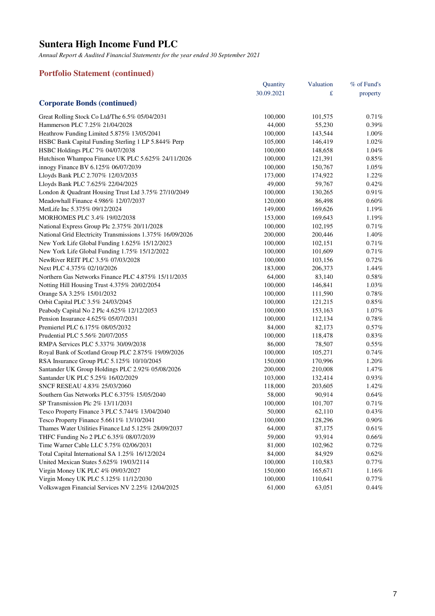*Annual Report & Audited Financial Statements for the year ended 30 September 2021*

# **Portfolio Statement (continued)**

|                                                           | Quantity   | Valuation | % of Fund's |
|-----------------------------------------------------------|------------|-----------|-------------|
|                                                           | 30.09.2021 | £         | property    |
| <b>Corporate Bonds (continued)</b>                        |            |           |             |
| Great Rolling Stock Co Ltd/The 6.5% 05/04/2031            | 100,000    | 101,575   | 0.71%       |
| Hammerson PLC 7.25% 21/04/2028                            | 44,000     | 55,230    | 0.39%       |
| Heathrow Funding Limited 5.875% 13/05/2041                | 100,000    | 143,544   | $1.00\%$    |
| HSBC Bank Capital Funding Sterling 1 LP 5.844% Perp       | 105,000    | 146,419   | 1.02%       |
| HSBC Holdings PLC 7% 04/07/2038                           | 100,000    | 148,658   | 1.04%       |
| Hutchison Whampoa Finance UK PLC 5.625% 24/11/2026        | 100,000    | 121,391   | 0.85%       |
| innogy Finance BV 6.125% 06/07/2039                       | 100,000    | 150,767   | 1.05%       |
| Lloyds Bank PLC 2.707% 12/03/2035                         | 173,000    | 174,922   | 1.22%       |
| Lloyds Bank PLC 7.625% 22/04/2025                         | 49,000     | 59,767    | 0.42%       |
| London & Quadrant Housing Trust Ltd 3.75% 27/10/2049      | 100,000    | 130,265   | 0.91%       |
| Meadowhall Finance 4.986% 12/07/2037                      | 120,000    | 86,498    | 0.60%       |
| MetLife Inc 5.375% 09/12/2024                             | 149,000    | 169,626   | 1.19%       |
| MORHOMES PLC 3.4% 19/02/2038                              | 153,000    | 169,643   | 1.19%       |
| National Express Group Plc 2.375% 20/11/2028              | 100,000    | 102,195   | 0.71%       |
| National Grid Electricity Transmissions 1.375% 16/09/2026 | 200,000    | 200,446   | 1.40%       |
| New York Life Global Funding 1.625% 15/12/2023            | 100,000    | 102,151   | 0.71%       |
| New York Life Global Funding 1.75% 15/12/2022             | 100,000    | 101,609   | 0.71%       |
| NewRiver REIT PLC 3.5% 07/03/2028                         | 100,000    | 103,156   | 0.72%       |
| Next PLC 4.375% 02/10/2026                                | 183,000    | 206,373   | 1.44%       |
| Northern Gas Networks Finance PLC 4.875% 15/11/2035       | 64,000     | 83,140    | 0.58%       |
| Notting Hill Housing Trust 4.375% 20/02/2054              | 100,000    | 146,841   | 1.03%       |
| Orange SA 3.25% 15/01/2032                                | 100,000    | 111,590   | 0.78%       |
| Orbit Capital PLC 3.5% 24/03/2045                         | 100,000    | 121,215   | 0.85%       |
| Peabody Capital No 2 Plc 4.625% 12/12/2053                | 100,000    | 153,163   | 1.07%       |
| Pension Insurance 4.625% 05/07/2031                       | 100,000    | 112,134   | 0.78%       |
| Premiertel PLC 6.175% 08/05/2032                          | 84,000     | 82,173    | 0.57%       |
| Prudential PLC 5.56% 20/07/2055                           | 100,000    | 118,478   | 0.83%       |
| RMPA Services PLC 5.337% 30/09/2038                       | 86,000     | 78,507    | 0.55%       |
| Royal Bank of Scotland Group PLC 2.875% 19/09/2026        | 100,000    | 105,271   | 0.74%       |
| RSA Insurance Group PLC 5.125% 10/10/2045                 | 150,000    | 170,996   | 1.20%       |
| Santander UK Group Holdings PLC 2.92% 05/08/2026          | 200,000    | 210,008   | 1.47%       |
| Santander UK PLC 5.25% 16/02/2029                         | 103,000    | 132,414   | 0.93%       |
| SNCF RESEAU 4.83% 25/03/2060                              | 118,000    | 203,605   | 1.42%       |
| Southern Gas Networks PLC 6.375% 15/05/2040               | 58,000     | 90,914    | 0.64%       |
| SP Transmission Plc 2% 13/11/2031                         | 100,000    | 101,707   | 0.71%       |
| Tesco Property Finance 3 PLC 5.744% 13/04/2040            | 50,000     | 62,110    | 0.43%       |
| Tesco Property Finance 5.6611% 13/10/2041                 | 100,000    | 128,296   | 0.90%       |
| Thames Water Utilities Finance Ltd 5.125% 28/09/2037      | 64,000     | 87,175    | 0.61%       |
| THFC Funding No 2 PLC 6.35% 08/07/2039                    | 59,000     | 93,914    | 0.66%       |
| Time Warner Cable LLC 5.75% 02/06/2031                    | 81,000     | 102,962   | 0.72%       |
| Total Capital International SA 1.25% 16/12/2024           | 84,000     | 84,929    | 0.62%       |
| United Mexican States 5.625% 19/03/2114                   | 100,000    | 110,583   | 0.77%       |
| Virgin Money UK PLC 4% 09/03/2027                         | 150,000    | 165,671   | 1.16%       |
| Virgin Money UK PLC 5.125% 11/12/2030                     | 100,000    | 110,641   | 0.77%       |
| Volkswagen Financial Services NV 2.25% 12/04/2025         | 61,000     | 63,051    | 0.44%       |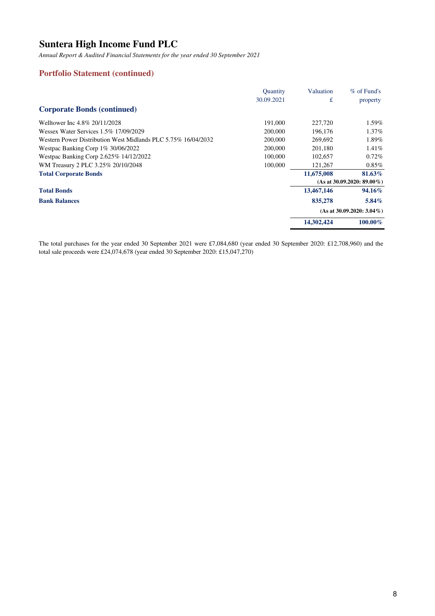*Annual Report & Audited Financial Statements for the year ended 30 September 2021*

### **Portfolio Statement (continued)**

|                                                               | <b>Quantity</b> | Valuation  | $%$ of Fund's                 |
|---------------------------------------------------------------|-----------------|------------|-------------------------------|
|                                                               | 30.09.2021      | £          | property                      |
| <b>Corporate Bonds (continued)</b>                            |                 |            |                               |
| Welltower Inc 4.8% 20/11/2028                                 | 191,000         | 227,720    | 1.59%                         |
| Wessex Water Services 1.5% 17/09/2029                         | 200,000         | 196,176    | 1.37%                         |
| Western Power Distribution West Midlands PLC 5.75% 16/04/2032 | 200,000         | 269.692    | 1.89%                         |
| Westpac Banking Corp 1% 30/06/2022                            | 200,000         | 201,180    | 1.41%                         |
| Westpac Banking Corp 2.625% 14/12/2022                        | 100,000         | 102,657    | 0.72%                         |
| WM Treasury 2 PLC 3.25% 20/10/2048                            | 100,000         | 121,267    | $0.85\%$                      |
| <b>Total Corporate Bonds</b>                                  |                 | 11,675,008 | 81.63%                        |
|                                                               |                 |            | $(As at 30.09.2020: 89.00\%)$ |
| <b>Total Bonds</b>                                            |                 | 13,467,146 | 94.16%                        |
| <b>Bank Balances</b>                                          |                 | 835,278    | $5.84\%$                      |
|                                                               |                 |            | $(As at 30.09.2020: 3.04\%)$  |
|                                                               |                 | 14,302,424 | $100.00\%$                    |

The total purchases for the year ended 30 September 2021 were £7,084,680 (year ended 30 September 2020: £12,708,960) and the total sale proceeds were £24,074,678 (year ended 30 September 2020: £15,047,270)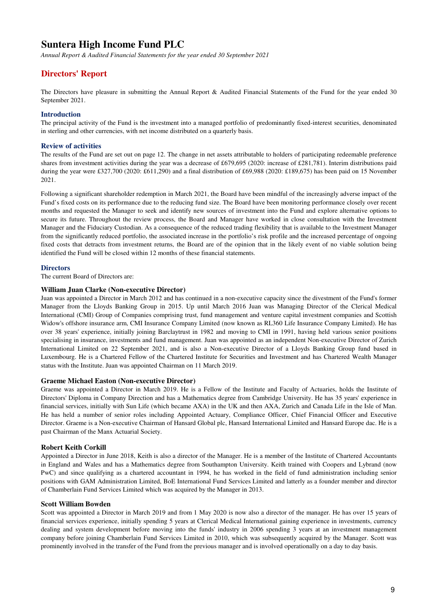*Annual Report & Audited Financial Statements for the year ended 30 September 2021*

### **Directors' Report**

The Directors have pleasure in submitting the Annual Report & Audited Financial Statements of the Fund for the year ended 30 September 2021.

#### **Introduction**

The principal activity of the Fund is the investment into a managed portfolio of predominantly fixed-interest securities, denominated in sterling and other currencies, with net income distributed on a quarterly basis.

#### **Review of activities**

The results of the Fund are set out on page 12. The change in net assets attributable to holders of participating redeemable preference shares from investment activities during the year was a decrease of £679,695 (2020: increase of £281,781). Interim distributions paid during the year were £327,700 (2020: £611,290) and a final distribution of £69,988 (2020: £189,675) has been paid on 15 November 2021.

Following a significant shareholder redemption in March 2021, the Board have been mindful of the increasingly adverse impact of the Fund's fixed costs on its performance due to the reducing fund size. The Board have been monitoring performance closely over recent months and requested the Manager to seek and identify new sources of investment into the Fund and explore alternative options to secure its future. Throughout the review process, the Board and Manager have worked in close consultation with the Investment Manager and the Fiduciary Custodian. As a consequence of the reduced trading flexibility that is available to the Investment Manager from the significantly reduced portfolio, the associated increase in the portfolio's risk profile and the increased percentage of ongoing fixed costs that detracts from investment returns, the Board are of the opinion that in the likely event of no viable solution being identified the Fund will be closed within 12 months of these financial statements.

#### **Directors**

The current Board of Directors are:

#### **William Juan Clarke (Non-executive Director)**

Juan was appointed a Director in March 2012 and has continued in a non-executive capacity since the divestment of the Fund's former Manager from the Lloyds Banking Group in 2015. Up until March 2016 Juan was Managing Director of the Clerical Medical International (CMI) Group of Companies comprising trust, fund management and venture capital investment companies and Scottish Widow's offshore insurance arm, CMI Insurance Company Limited (now known as RL360 Life Insurance Company Limited). He has over 38 years' experience, initially joining Barclaytrust in 1982 and moving to CMI in 1991, having held various senior positions specialising in insurance, investments and fund management. Juan was appointed as an independent Non-executive Director of Zurich International Limited on 22 September 2021, and is also a Non-executive Director of a Lloyds Banking Group fund based in Luxembourg. He is a Chartered Fellow of the Chartered Institute for Securities and Investment and has Chartered Wealth Manager status with the Institute. Juan was appointed Chairman on 11 March 2019.

#### **Graeme Michael Easton (Non-executive Director)**

Graeme was appointed a Director in March 2019. He is a Fellow of the Institute and Faculty of Actuaries, holds the Institute of Directors' Diploma in Company Direction and has a Mathematics degree from Cambridge University. He has 35 years' experience in financial services, initially with Sun Life (which became AXA) in the UK and then AXA, Zurich and Canada Life in the Isle of Man. He has held a number of senior roles including Appointed Actuary, Compliance Officer, Chief Financial Officer and Executive Director. Graeme is a Non-executive Chairman of Hansard Global plc, Hansard International Limited and Hansard Europe dac. He is a past Chairman of the Manx Actuarial Society.

#### **Robert Keith Corkill**

Appointed a Director in June 2018, Keith is also a director of the Manager. He is a member of the Institute of Chartered Accountants in England and Wales and has a Mathematics degree from Southampton University. Keith trained with Coopers and Lybrand (now PwC) and since qualifying as a chartered accountant in 1994, he has worked in the field of fund administration including senior positions with GAM Administration Limited, BoE International Fund Services Limited and latterly as a founder member and director of Chamberlain Fund Services Limited which was acquired by the Manager in 2013.

#### **Scott William Bowden**

Scott was appointed a Director in March 2019 and from 1 May 2020 is now also a director of the manager. He has over 15 years of financial services experience, initially spending 5 years at Clerical Medical International gaining experience in investments, currency dealing and system development before moving into the funds' industry in 2006 spending 3 years at an investment management company before joining Chamberlain Fund Services Limited in 2010, which was subsequently acquired by the Manager. Scott was prominently involved in the transfer of the Fund from the previous manager and is involved operationally on a day to day basis.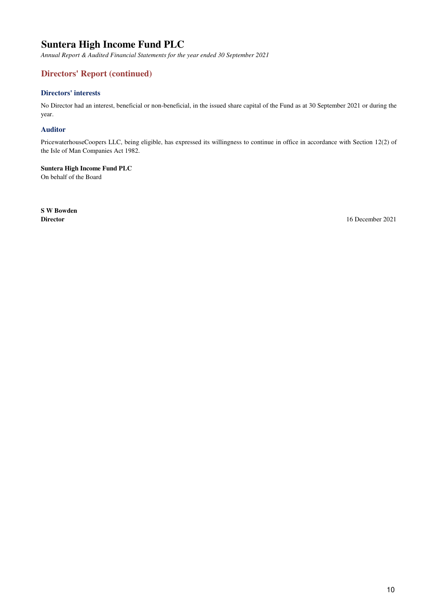*Annual Report & Audited Financial Statements for the year ended 30 September 2021*

# **Directors' Report (continued)**

### **Directors' interests**

No Director had an interest, beneficial or non-beneficial, in the issued share capital of the Fund as at 30 September 2021 or during the year.

#### **Auditor**

PricewaterhouseCoopers LLC, being eligible, has expressed its willingness to continue in office in accordance with Section 12(2) of the Isle of Man Companies Act 1982.

### **Suntera High Income Fund PLC**

On behalf of the Board

**S W Bowden**

**Director** 16 December 2021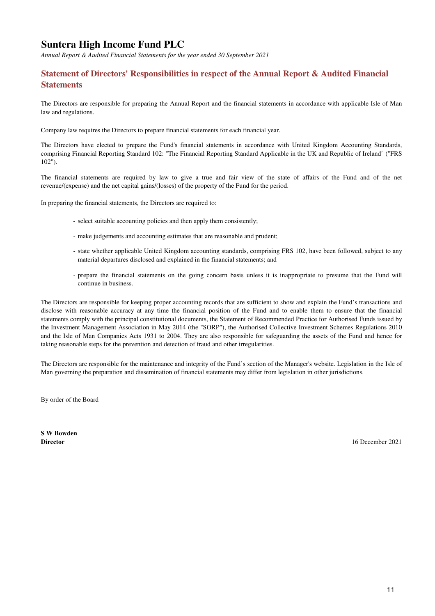*Annual Report & Audited Financial Statements for the year ended 30 September 2021*

# **Statement of Directors' Responsibilities in respect of the Annual Report & Audited Financial Statements**

The Directors are responsible for preparing the Annual Report and the financial statements in accordance with applicable Isle of Man law and regulations.

Company law requires the Directors to prepare financial statements for each financial year.

The Directors have elected to prepare the Fund's financial statements in accordance with United Kingdom Accounting Standards, comprising Financial Reporting Standard 102: "The Financial Reporting Standard Applicable in the UK and Republic of Ireland" ("FRS 102").

The financial statements are required by law to give a true and fair view of the state of affairs of the Fund and of the net revenue/(expense) and the net capital gains/(losses) of the property of the Fund for the period.

In preparing the financial statements, the Directors are required to:

- select suitable accounting policies and then apply them consistently;
- make judgements and accounting estimates that are reasonable and prudent;
- state whether applicable United Kingdom accounting standards, comprising FRS 102, have been followed, subject to any material departures disclosed and explained in the financial statements; and
- prepare the financial statements on the going concern basis unless it is inappropriate to presume that the Fund will continue in business.

The Directors are responsible for keeping proper accounting records that are sufficient to show and explain the Fund's transactions and disclose with reasonable accuracy at any time the financial position of the Fund and to enable them to ensure that the financial statements comply with the principal constitutional documents, the Statement of Recommended Practice for Authorised Funds issued by the Investment Management Association in May 2014 (the "SORP"), the Authorised Collective Investment Schemes Regulations 2010 and the Isle of Man Companies Acts 1931 to 2004. They are also responsible for safeguarding the assets of the Fund and hence for taking reasonable steps for the prevention and detection of fraud and other irregularities.

The Directors are responsible for the maintenance and integrity of the Fund's section of the Manager's website. Legislation in the Isle of Man governing the preparation and dissemination of financial statements may differ from legislation in other jurisdictions.

By order of the Board

**S W Bowden**

**Director** 16 December 2021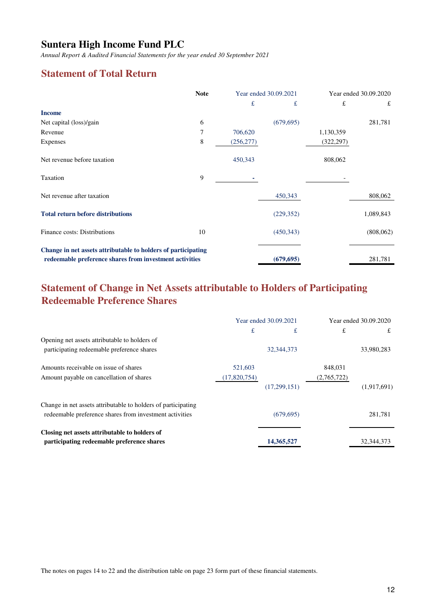*Annual Report & Audited Financial Statements for the year ended 30 September 2021*

# **Statement of Total Return**

|                                                                                                                          | <b>Note</b><br>Year ended 30.09.2021 |            |            |            | Year ended 30.09.2020 |  |
|--------------------------------------------------------------------------------------------------------------------------|--------------------------------------|------------|------------|------------|-----------------------|--|
|                                                                                                                          |                                      | £          | £          | £          | £                     |  |
| <b>Income</b>                                                                                                            |                                      |            |            |            |                       |  |
| Net capital (loss)/gain                                                                                                  | 6                                    |            | (679, 695) |            | 281,781               |  |
| Revenue                                                                                                                  | 7                                    | 706,620    |            | 1,130,359  |                       |  |
| Expenses                                                                                                                 | 8                                    | (256, 277) |            | (322, 297) |                       |  |
| Net revenue before taxation                                                                                              |                                      | 450,343    |            | 808,062    |                       |  |
| Taxation                                                                                                                 | 9                                    |            |            |            |                       |  |
| Net revenue after taxation                                                                                               |                                      |            | 450,343    |            | 808,062               |  |
| <b>Total return before distributions</b>                                                                                 |                                      |            | (229, 352) |            | 1,089,843             |  |
| Finance costs: Distributions                                                                                             | 10                                   |            | (450, 343) |            | (808, 062)            |  |
| Change in net assets attributable to holders of participating<br>redeemable preference shares from investment activities |                                      |            | (679, 695) |            | 281,781               |  |

# **Statement of Change in Net Assets attributable to Holders of Participating Redeemable Preference Shares**

|                                                               | Year ended 30.09.2021 |              | Year ended 30.09.2020 |              |
|---------------------------------------------------------------|-----------------------|--------------|-----------------------|--------------|
|                                                               | £                     | £            | £                     | £            |
| Opening net assets attributable to holders of                 |                       |              |                       |              |
| participating redeemable preference shares                    |                       | 32, 344, 373 |                       | 33,980,283   |
| Amounts receivable on issue of shares                         | 521,603               |              | 848,031               |              |
| Amount payable on cancellation of shares                      | (17,820,754)          |              | (2,765,722)           |              |
|                                                               |                       | (17,299,151) |                       | (1,917,691)  |
| Change in net assets attributable to holders of participating |                       |              |                       |              |
| redeemable preference shares from investment activities       |                       | (679, 695)   |                       | 281,781      |
| Closing net assets attributable to holders of                 |                       |              |                       |              |
| participating redeemable preference shares                    |                       | 14,365,527   |                       | 32, 344, 373 |

The notes on pages 14 to 22 and the distribution table on page 23 form part of these financial statements.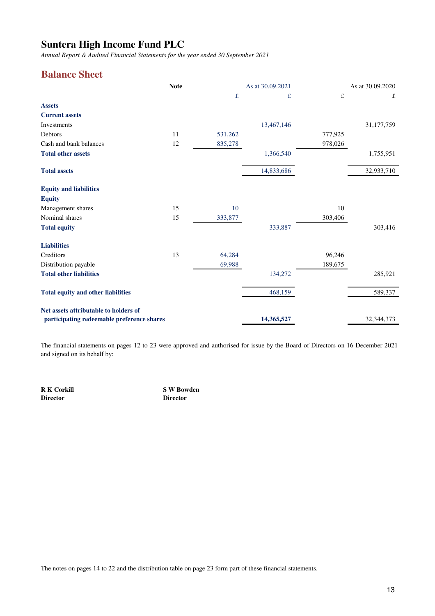*Annual Report & Audited Financial Statements for the year ended 30 September 2021*

# **Balance Sheet**

|                                            | <b>Note</b> |         | As at 30.09.2021 |           | As at 30.09.2020 |
|--------------------------------------------|-------------|---------|------------------|-----------|------------------|
|                                            |             | f       | £                | $\pounds$ | £                |
| <b>Assets</b>                              |             |         |                  |           |                  |
| <b>Current assets</b>                      |             |         |                  |           |                  |
| Investments                                |             |         | 13,467,146       |           | 31,177,759       |
| Debtors                                    | 11          | 531,262 |                  | 777,925   |                  |
| Cash and bank balances                     | 12          | 835,278 |                  | 978,026   |                  |
| <b>Total other assets</b>                  |             |         | 1,366,540        |           | 1,755,951        |
| <b>Total assets</b>                        |             |         | 14,833,686       |           | 32,933,710       |
| <b>Equity and liabilities</b>              |             |         |                  |           |                  |
| <b>Equity</b>                              |             |         |                  |           |                  |
| Management shares                          | 15          | 10      |                  | 10        |                  |
| Nominal shares                             | 15          | 333,877 |                  | 303,406   |                  |
| <b>Total equity</b>                        |             |         | 333,887          |           | 303,416          |
| <b>Liabilities</b>                         |             |         |                  |           |                  |
| Creditors                                  | 13          | 64,284  |                  | 96,246    |                  |
| Distribution payable                       |             | 69,988  |                  | 189,675   |                  |
| <b>Total other liabilities</b>             |             |         | 134,272          |           | 285,921          |
| <b>Total equity and other liabilities</b>  |             |         | 468,159          |           | 589,337          |
| Net assets attributable to holders of      |             |         | 14,365,527       |           | 32,344,373       |
| participating redeemable preference shares |             |         |                  |           |                  |

The financial statements on pages 12 to 23 were approved and authorised for issue by the Board of Directors on 16 December 2021 and signed on its behalf by:

**R K Corkill S W Bowden Director Director**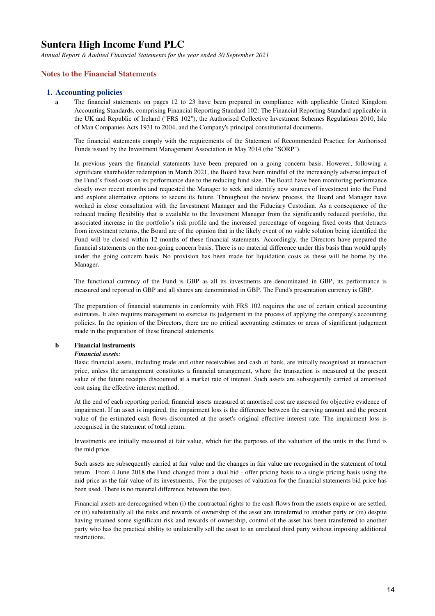*Annual Report & Audited Financial Statements for the year ended 30 September 2021*

### **Notes to the Financial Statements**

#### **1. Accounting policies**

**a** The financial statements on pages 12 to 23 have been prepared in compliance with applicable United Kingdom Accounting Standards, comprising Financial Reporting Standard 102: The Financial Reporting Standard applicable in the UK and Republic of Ireland ("FRS 102"), the Authorised Collective Investment Schemes Regulations 2010, Isle of Man Companies Acts 1931 to 2004, and the Company's principal constitutional documents.

The financial statements comply with the requirements of the Statement of Recommended Practice for Authorised Funds issued by the Investment Management Association in May 2014 (the "SORP").

In previous years the financial statements have been prepared on a going concern basis. However, following a significant shareholder redemption in March 2021, the Board have been mindful of the increasingly adverse impact of the Fund's fixed costs on its performance due to the reducing fund size. The Board have been monitoring performance closely over recent months and requested the Manager to seek and identify new sources of investment into the Fund and explore alternative options to secure its future. Throughout the review process, the Board and Manager have worked in close consultation with the Investment Manager and the Fiduciary Custodian. As a consequence of the reduced trading flexibility that is available to the Investment Manager from the significantly reduced portfolio, the associated increase in the portfolio's risk profile and the increased percentage of ongoing fixed costs that detracts from investment returns, the Board are of the opinion that in the likely event of no viable solution being identified the Fund will be closed within 12 months of these financial statements. Accordingly, the Directors have prepared the financial statements on the non-going concern basis. There is no material difference under this basis than would apply under the going concern basis. No provision has been made for liquidation costs as these will be borne by the Manager.

The functional currency of the Fund is GBP as all its investments are denominated in GBP, its performance is measured and reported in GBP and all shares are denominated in GBP. The Fund's presentation currency is GBP.

The preparation of financial statements in conformity with FRS 102 requires the use of certain critical accounting estimates. It also requires management to exercise its judgement in the process of applying the company's accounting policies. In the opinion of the Directors, there are no critical accounting estimates or areas of significant judgement made in the preparation of these financial statements.

#### **b Financial instruments**

#### *Financial assets:*

Basic financial assets, including trade and other receivables and cash at bank, are initially recognised at transaction price, unless the arrangement constitutes a financial arrangement, where the transaction is measured at the present value of the future receipts discounted at a market rate of interest. Such assets are subsequently carried at amortised cost using the effective interest method.

At the end of each reporting period, financial assets measured at amortised cost are assessed for objective evidence of impairment. If an asset is impaired, the impairment loss is the difference between the carrying amount and the present value of the estimated cash flows discounted at the asset's original effective interest rate. The impairment loss is recognised in the statement of total return.

Investments are initially measured at fair value, which for the purposes of the valuation of the units in the Fund is the mid price.

Such assets are subsequently carried at fair value and the changes in fair value are recognised in the statement of total return. From 4 June 2018 the Fund changed from a dual bid - offer pricing basis to a single pricing basis using the mid price as the fair value of its investments. For the purposes of valuation for the financial statements bid price has been used. There is no material difference between the two.

Financial assets are derecognised when (i) the contractual rights to the cash flows from the assets expire or are settled, or (ii) substantially all the risks and rewards of ownership of the asset are transferred to another party or (iii) despite having retained some significant risk and rewards of ownership, control of the asset has been transferred to another party who has the practical ability to unilaterally sell the asset to an unrelated third party without imposing additional restrictions.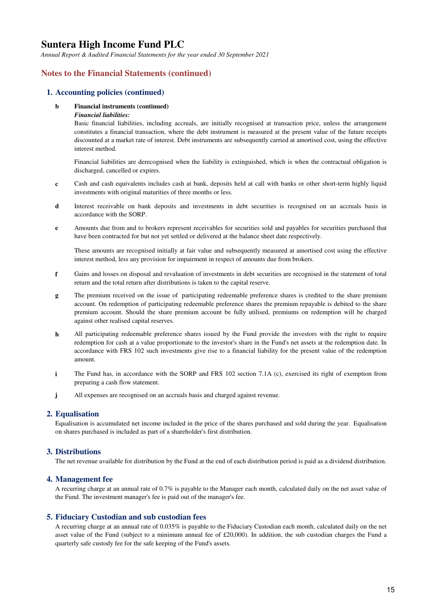*Annual Report & Audited Financial Statements for the year ended 30 September 2021*

### **Notes to the Financial Statements (continued)**

#### **1. Accounting policies (continued)**

#### **b Financial instruments (continued)**

#### *Financial liabilities:*

Basic financial liabilities, including accruals, are initially recognised at transaction price, unless the arrangement constitutes a financial transaction, where the debt instrument is measured at the present value of the future receipts discounted at a market rate of interest. Debt instruments are subsequently carried at amortised cost, using the effective interest method.

Financial liabilities are derecognised when the liability is extinguished, which is when the contractual obligation is discharged, cancelled or expires.

- **c** Cash and cash equivalents includes cash at bank, deposits held at call with banks or other short-term highly liquid investments with original maturities of three months or less.
- **d** Interest receivable on bank deposits and investments in debt securities is recognised on an accruals basis in accordance with the SORP.
- **e** Amounts due from and to brokers represent receivables for securities sold and payables for securities purchased that have been contracted for but not yet settled or delivered at the balance sheet date respectively.

These amounts are recognised initially at fair value and subsequently measured at amortised cost using the effective interest method, less any provision for impairment in respect of amounts due from brokers.

- **f** Gains and losses on disposal and revaluation of investments in debt securities are recognised in the statement of total return and the total return after distributions is taken to the capital reserve.
- **g** The premium received on the issue of participating redeemable preference shares is credited to the share premium account. On redemption of participating redeemable preference shares the premium repayable is debited to the share premium account. Should the share premium account be fully utilised, premiums on redemption will be charged against other realised capital reserves.
- **h** All participating redeemable preference shares issued by the Fund provide the investors with the right to require redemption for cash at a value proportionate to the investor's share in the Fund's net assets at the redemption date. In accordance with FRS 102 such investments give rise to a financial liability for the present value of the redemption amount.
- **i** The Fund has, in accordance with the SORP and FRS 102 section 7.1A (c), exercised its right of exemption from preparing a cash flow statement.
- **j** All expenses are recognised on an accruals basis and charged against revenue.

#### **2. Equalisation**

Equalisation is accumulated net income included in the price of the shares purchased and sold during the year. Equalisation on shares purchased is included as part of a shareholder's first distribution.

#### **3. Distributions**

The net revenue available for distribution by the Fund at the end of each distribution period is paid as a dividend distribution.

#### **4. Management fee**

A recurring charge at an annual rate of 0.7% is payable to the Manager each month, calculated daily on the net asset value of the Fund. The investment manager's fee is paid out of the manager's fee.

#### **5. Fiduciary Custodian and sub custodian fees**

A recurring charge at an annual rate of 0.035% is payable to the Fiduciary Custodian each month, calculated daily on the net asset value of the Fund (subject to a minimum annual fee of  $£20,000$ ). In addition, the sub custodian charges the Fund a quarterly safe custody fee for the safe keeping of the Fund's assets.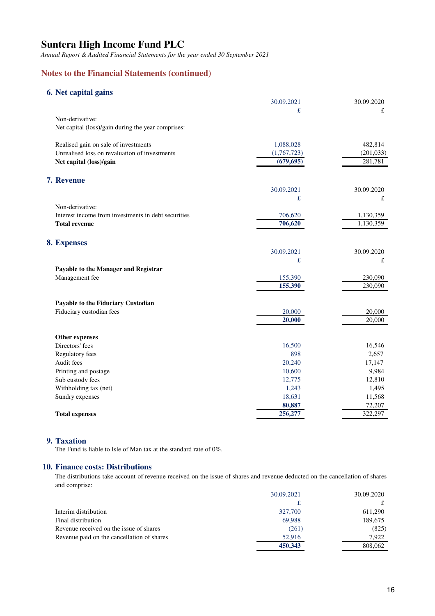*Annual Report & Audited Financial Statements for the year ended 30 September 2021*

## **Notes to the Financial Statements (continued)**

### **6. Net capital gains**

|                                                     | 30.09.2021  | 30.09.2020 |
|-----------------------------------------------------|-------------|------------|
|                                                     | £           | £          |
| Non-derivative:                                     |             |            |
| Net capital (loss)/gain during the year comprises:  |             |            |
| Realised gain on sale of investments                | 1,088,028   | 482,814    |
| Unrealised loss on revaluation of investments       | (1,767,723) | (201, 033) |
| Net capital (loss)/gain                             | (679, 695)  | 281,781    |
| 7. Revenue                                          |             |            |
|                                                     | 30.09.2021  | 30.09.2020 |
|                                                     | £           | £          |
| Non-derivative:                                     |             |            |
| Interest income from investments in debt securities | 706,620     | 1,130,359  |
| <b>Total revenue</b>                                | 706,620     | 1,130,359  |
| 8. Expenses                                         |             |            |
|                                                     | 30.09.2021  | 30.09.2020 |
|                                                     | £           | £          |
| Payable to the Manager and Registrar                |             |            |
| Management fee                                      | 155,390     | 230,090    |
|                                                     | 155,390     | 230,090    |
| Payable to the Fiduciary Custodian                  |             |            |
| Fiduciary custodian fees                            | 20,000      | 20,000     |
|                                                     | 20,000      | 20,000     |
| Other expenses                                      |             |            |
| Directors' fees                                     | 16,500      | 16,546     |
| Regulatory fees                                     | 898         | 2,657      |
| Audit fees                                          | 20,240      | 17,147     |
| Printing and postage                                | 10,600      | 9,984      |
| Sub custody fees                                    | 12,775      | 12,810     |
| Withholding tax (net)                               | 1,243       | 1,495      |
| Sundry expenses                                     | 18,631      | 11,568     |
|                                                     | 80,887      | 72,207     |
| <b>Total expenses</b>                               | 256,277     | 322,297    |
|                                                     |             |            |

#### **9. Taxation**

The Fund is liable to Isle of Man tax at the standard rate of 0%.

### **10. Finance costs: Distributions**

The distributions take account of revenue received on the issue of shares and revenue deducted on the cancellation of shares and comprise:

|                                            | 30.09.2021 | 30.09.2020 |
|--------------------------------------------|------------|------------|
|                                            |            |            |
| Interim distribution                       | 327,700    | 611,290    |
| Final distribution                         | 69.988     | 189.675    |
| Revenue received on the issue of shares    | (261)      | (825)      |
| Revenue paid on the cancellation of shares | 52,916     | 7.922      |
|                                            | 450,343    | 808,062    |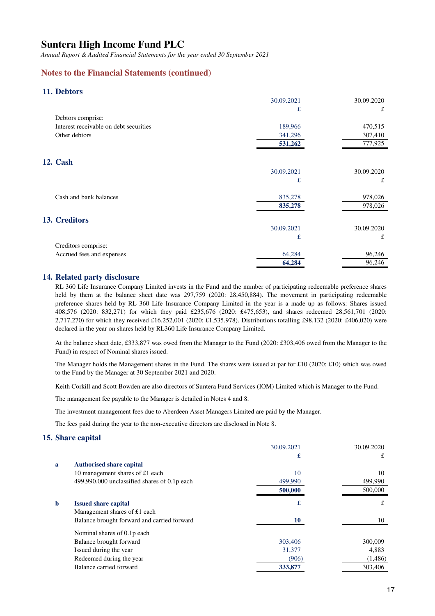*Annual Report & Audited Financial Statements for the year ended 30 September 2021*

### **Notes to the Financial Statements (continued)**

### **11. Debtors**

|                                        | 30.09.2021 | 30.09.2020 |
|----------------------------------------|------------|------------|
|                                        | £          | £          |
| Debtors comprise:                      |            |            |
| Interest receivable on debt securities | 189,966    | 470,515    |
| Other debtors                          | 341,296    | 307,410    |
|                                        | 531,262    | 777,925    |
| <b>12. Cash</b>                        |            |            |
|                                        | 30.09.2021 | 30.09.2020 |
|                                        | £          | £          |
| Cash and bank balances                 | 835,278    | 978,026    |
|                                        | 835,278    | 978,026    |
| 13. Creditors                          |            |            |
|                                        | 30.09.2021 | 30.09.2020 |
|                                        | £          | £          |
| Creditors comprise:                    |            |            |
| Accrued fees and expenses              | 64,284     | 96,246     |
|                                        | 64,284     | 96,246     |

### **14. Related party disclosure**

RL 360 Life Insurance Company Limited invests in the Fund and the number of participating redeemable preference shares held by them at the balance sheet date was 297,759 (2020: 28,450,884). The movement in participating redeemable preference shares held by RL 360 Life Insurance Company Limited in the year is a made up as follows: Shares issued 408,576 (2020: 832,271) for which they paid £235,676 (2020: £475,653), and shares redeemed 28,561,701 (2020: 2,717,270) for which they received £16,252,001 (2020: £1,535,978). Distributions totalling £98,132 (2020: £406,020) were declared in the year on shares held by RL360 Life Insurance Company Limited.

At the balance sheet date, £333,877 was owed from the Manager to the Fund (2020: £303,406 owed from the Manager to the Fund) in respect of Nominal shares issued.

The Manager holds the Management shares in the Fund. The shares were issued at par for £10 (2020: £10) which was owed to the Fund by the Manager at 30 September 2021 and 2020.

Keith Corkill and Scott Bowden are also directors of Suntera Fund Services (IOM) Limited which is Manager to the Fund.

The management fee payable to the Manager is detailed in Notes 4 and 8.

The investment management fees due to Aberdeen Asset Managers Limited are paid by the Manager.

The fees paid during the year to the non-executive directors are disclosed in Note 8.

#### **15. Share capital**

|              |                                              | 30.09.2021 | 30.09.2020 |
|--------------|----------------------------------------------|------------|------------|
|              |                                              | £          | £          |
| $\mathbf{a}$ | <b>Authorised share capital</b>              |            |            |
|              | 10 management shares of £1 each              | 10         | 10         |
|              | 499,990,000 unclassified shares of 0.1p each | 499,990    | 499,990    |
|              |                                              | 500,000    | 500,000    |
| b            | <b>Issued share capital</b>                  | £          | £          |
|              | Management shares of £1 each                 |            |            |
|              | Balance brought forward and carried forward  | 10         | 10         |
|              | Nominal shares of 0.1p each                  |            |            |
|              | Balance brought forward                      | 303,406    | 300,009    |
|              | Issued during the year                       | 31,377     | 4,883      |
|              | Redeemed during the year                     | (906)      | (1,486)    |
|              | Balance carried forward                      | 333,877    | 303,406    |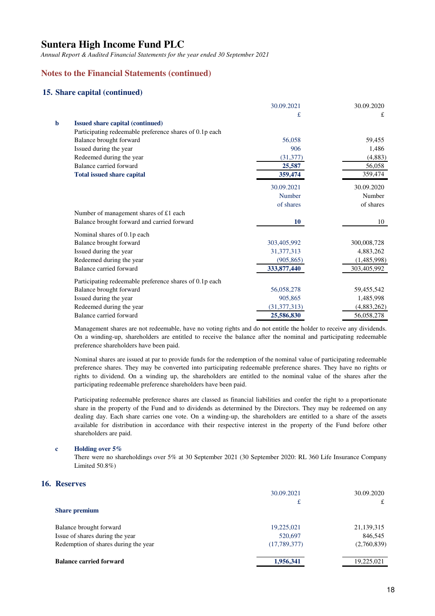*Annual Report & Audited Financial Statements for the year ended 30 September 2021*

### **Notes to the Financial Statements (continued)**

### **15. Share capital (continued)**

|   |                                                         | 30.09.2021     | 30.09.2020  |
|---|---------------------------------------------------------|----------------|-------------|
|   |                                                         | £              | £           |
| b | <b>Issued share capital (continued)</b>                 |                |             |
|   | Participating redeemable preference shares of 0.1p each |                |             |
|   | Balance brought forward                                 | 56,058         | 59,455      |
|   | Issued during the year                                  | 906            | 1,486       |
|   | Redeemed during the year                                | (31, 377)      | (4, 883)    |
|   | Balance carried forward                                 | 25,587         | 56,058      |
|   | <b>Total issued share capital</b>                       | 359,474        | 359,474     |
|   |                                                         | 30.09.2021     | 30.09.2020  |
|   |                                                         | <b>Number</b>  | Number      |
|   |                                                         | of shares      | of shares   |
|   | Number of management shares of £1 each                  |                |             |
|   | Balance brought forward and carried forward             | <b>10</b>      | 10          |
|   | Nominal shares of 0.1p each                             |                |             |
|   | Balance brought forward                                 | 303,405,992    | 300,008,728 |
|   | Issued during the year                                  | 31, 377, 313   | 4,883,262   |
|   | Redeemed during the year                                | (905, 865)     | (1,485,998) |
|   | Balance carried forward                                 | 333, 877, 440  | 303,405,992 |
|   | Participating redeemable preference shares of 0.1p each |                |             |
|   | Balance brought forward                                 | 56,058,278     | 59,455,542  |
|   | Issued during the year                                  | 905,865        | 1,485,998   |
|   | Redeemed during the year                                | (31, 377, 313) | (4,883,262) |
|   | Balance carried forward                                 | 25,586,830     | 56,058,278  |
|   |                                                         |                |             |

Management shares are not redeemable, have no voting rights and do not entitle the holder to receive any dividends. On a winding-up, shareholders are entitled to receive the balance after the nominal and participating redeemable preference shareholders have been paid.

Nominal shares are issued at par to provide funds for the redemption of the nominal value of participating redeemable preference shares. They may be converted into participating redeemable preference shares. They have no rights or rights to dividend. On a winding up, the shareholders are entitled to the nominal value of the shares after the participating redeemable preference shareholders have been paid.

Participating redeemable preference shares are classed as financial liabilities and confer the right to a proportionate share in the property of the Fund and to dividends as determined by the Directors. They may be redeemed on any dealing day. Each share carries one vote. On a winding-up, the shareholders are entitled to a share of the assets available for distribution in accordance with their respective interest in the property of the Fund before other shareholders are paid.

#### **c Holding over 5%**

There were no shareholdings over 5% at 30 September 2021 (30 September 2020: RL 360 Life Insurance Company Limited 50.8%)

### **16. Reserves**

|                                      | 30.09.2021   | 30.09.2020  |
|--------------------------------------|--------------|-------------|
|                                      | £            | £           |
| <b>Share premium</b>                 |              |             |
| Balance brought forward              | 19,225,021   | 21,139,315  |
| Issue of shares during the year      | 520,697      | 846,545     |
| Redemption of shares during the year | (17,789,377) | (2,760,839) |
| <b>Balance carried forward</b>       | 1,956,341    | 19,225,021  |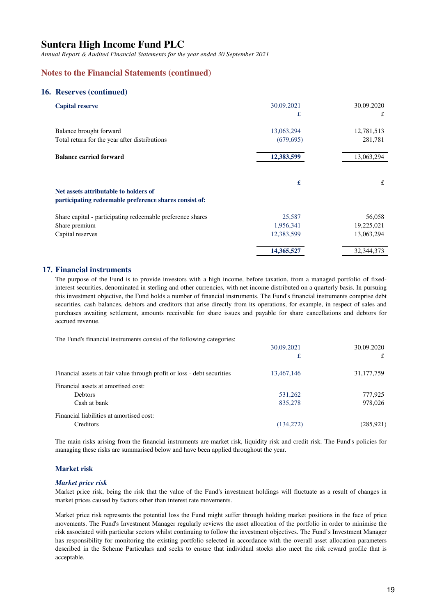*Annual Report & Audited Financial Statements for the year ended 30 September 2021*

### **Notes to the Financial Statements (continued)**

#### **16. Reserves (continued)**

| <b>Capital reserve</b>                                                                          | 30.09.2021<br>£          | 30.09.2020<br>£       |
|-------------------------------------------------------------------------------------------------|--------------------------|-----------------------|
| Balance brought forward<br>Total return for the year after distributions                        | 13,063,294<br>(679, 695) | 12,781,513<br>281,781 |
|                                                                                                 |                          |                       |
| <b>Balance carried forward</b>                                                                  | 12,383,599               | 13,063,294            |
| Net assets attributable to holders of<br>participating redeemable preference shares consist of: | £                        | £                     |
| Share capital - participating redeemable preference shares                                      | 25,587                   | 56,058                |
| Share premium                                                                                   | 1,956,341                | 19,225,021            |
| Capital reserves                                                                                | 12,383,599               | 13,063,294            |
|                                                                                                 | 14,365,527               | 32, 344, 373          |

### **17. Financial instruments**

The purpose of the Fund is to provide investors with a high income, before taxation, from a managed portfolio of fixedinterest securities, denominated in sterling and other currencies, with net income distributed on a quarterly basis. In pursuing this investment objective, the Fund holds a number of financial instruments. The Fund's financial instruments comprise debt securities, cash balances, debtors and creditors that arise directly from its operations, for example, in respect of sales and purchases awaiting settlement, amounts receivable for share issues and payable for share cancellations and debtors for accrued revenue.

The Fund's financial instruments consist of the following categories:

|                                                                         | 30.09.2021 | 30.09.2020   |
|-------------------------------------------------------------------------|------------|--------------|
|                                                                         | £          | £            |
| Financial assets at fair value through profit or loss - debt securities | 13,467,146 | 31, 177, 759 |
| Financial assets at amortised cost:                                     |            |              |
| <b>Debtors</b>                                                          | 531,262    | 777,925      |
| Cash at bank                                                            | 835,278    | 978,026      |
| Financial liabilities at amortised cost:                                |            |              |
| Creditors                                                               | (134,272)  | (285, 921)   |

The main risks arising from the financial instruments are market risk, liquidity risk and credit risk. The Fund's policies for managing these risks are summarised below and have been applied throughout the year.

#### **Market risk**

#### *Market price risk*

Market price risk, being the risk that the value of the Fund's investment holdings will fluctuate as a result of changes in market prices caused by factors other than interest rate movements.

Market price risk represents the potential loss the Fund might suffer through holding market positions in the face of price movements. The Fund's Investment Manager regularly reviews the asset allocation of the portfolio in order to minimise the risk associated with particular sectors whilst continuing to follow the investment objectives. The Fund's Investment Manager has responsibility for monitoring the existing portfolio selected in accordance with the overall asset allocation parameters described in the Scheme Particulars and seeks to ensure that individual stocks also meet the risk reward profile that is acceptable.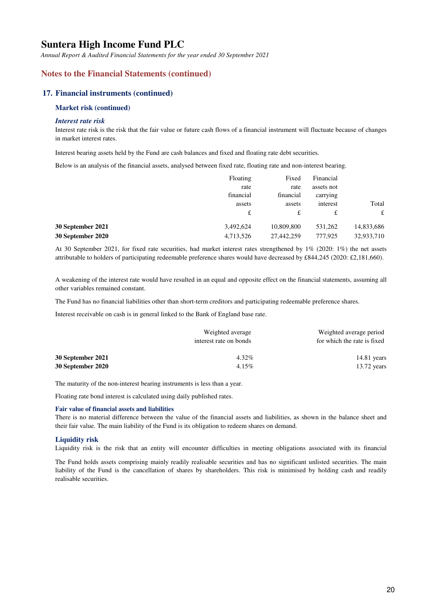*Annual Report & Audited Financial Statements for the year ended 30 September 2021*

### **Notes to the Financial Statements (continued)**

#### **17. Financial instruments (continued)**

#### **Market risk (continued)**

#### *Interest rate risk*

Interest rate risk is the risk that the fair value or future cash flows of a financial instrument will fluctuate because of changes in market interest rates.

Interest bearing assets held by the Fund are cash balances and fixed and floating rate debt securities.

Below is an analysis of the financial assets, analysed between fixed rate, floating rate and non-interest bearing.

|                   | Floating  | Fixed      | Financial  |            |
|-------------------|-----------|------------|------------|------------|
|                   | rate      | rate       | assets not |            |
|                   | financial | financial  | carrying   |            |
|                   | assets    | assets     | interest   | Total      |
|                   | £         | £          | £          | £          |
| 30 September 2021 | 3,492,624 | 10,809,800 | 531,262    | 14,833,686 |
| 30 September 2020 | 4,713,526 | 27,442,259 | 777,925    | 32,933,710 |

At 30 September 2021, for fixed rate securities, had market interest rates strengthened by 1% (2020: 1%) the net assets attributable to holders of participating redeemable preference shares would have decreased by £844,245 (2020: £2,181,660).

A weakening of the interest rate would have resulted in an equal and opposite effect on the financial statements, assuming all other variables remained constant.

The Fund has no financial liabilities other than short-term creditors and participating redeemable preference shares.

Interest receivable on cash is in general linked to the Bank of England base rate.

|                   | Weighted average<br>interest rate on bonds | Weighted average period<br>for which the rate is fixed |
|-------------------|--------------------------------------------|--------------------------------------------------------|
| 30 September 2021 | 4.32%                                      | $14.81$ years                                          |
| 30 September 2020 | $4.15\%$                                   | $13.72$ years                                          |

The maturity of the non-interest bearing instruments is less than a year.

Floating rate bond interest is calculated using daily published rates.

#### **Fair value of financial assets and liabilities**

There is no material difference between the value of the financial assets and liabilities, as shown in the balance sheet and their fair value. The main liability of the Fund is its obligation to redeem shares on demand.

#### **Liquidity risk**

Liquidity risk is the risk that an entity will encounter difficulties in meeting obligations associated with its financial

The Fund holds assets comprising mainly readily realisable securities and has no significant unlisted securities. The main liability of the Fund is the cancellation of shares by shareholders. This risk is minimised by holding cash and readily realisable securities.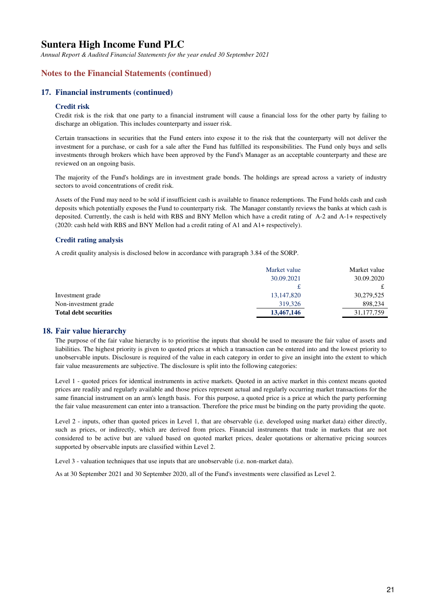*Annual Report & Audited Financial Statements for the year ended 30 September 2021*

### **Notes to the Financial Statements (continued)**

#### **17. Financial instruments (continued)**

#### **Credit risk**

Credit risk is the risk that one party to a financial instrument will cause a financial loss for the other party by failing to discharge an obligation. This includes counterparty and issuer risk.

Certain transactions in securities that the Fund enters into expose it to the risk that the counterparty will not deliver the investment for a purchase, or cash for a sale after the Fund has fulfilled its responsibilities. The Fund only buys and sells investments through brokers which have been approved by the Fund's Manager as an acceptable counterparty and these are reviewed on an ongoing basis.

The majority of the Fund's holdings are in investment grade bonds. The holdings are spread across a variety of industry sectors to avoid concentrations of credit risk.

Assets of the Fund may need to be sold if insufficient cash is available to finance redemptions. The Fund holds cash and cash deposits which potentially exposes the Fund to counterparty risk. The Manager constantly reviews the banks at which cash is deposited. Currently, the cash is held with RBS and BNY Mellon which have a credit rating of A-2 and A-1+ respectively (2020: cash held with RBS and BNY Mellon had a credit rating of A1 and A1+ respectively).

#### **Credit rating analysis**

A credit quality analysis is disclosed below in accordance with paragraph 3.84 of the SORP.

|                       | Market value | Market value |
|-----------------------|--------------|--------------|
|                       | 30.09.2021   | 30.09.2020   |
|                       |              |              |
| Investment grade      | 13, 147, 820 | 30,279,525   |
| Non-investment grade  | 319,326      | 898.234      |
| Total debt securities | 13,467,146   | 31, 177, 759 |
|                       |              |              |

#### **18. Fair value hierarchy**

The purpose of the fair value hierarchy is to prioritise the inputs that should be used to measure the fair value of assets and liabilities. The highest priority is given to quoted prices at which a transaction can be entered into and the lowest priority to unobservable inputs. Disclosure is required of the value in each category in order to give an insight into the extent to which fair value measurements are subjective. The disclosure is split into the following categories:

Level 1 - quoted prices for identical instruments in active markets. Quoted in an active market in this context means quoted prices are readily and regularly available and those prices represent actual and regularly occurring market transactions for the same financial instrument on an arm's length basis. For this purpose, a quoted price is a price at which the party performing the fair value measurement can enter into a transaction. Therefore the price must be binding on the party providing the quote.

Level 2 - inputs, other than quoted prices in Level 1, that are observable (i.e. developed using market data) either directly, such as prices, or indirectly, which are derived from prices. Financial instruments that trade in markets that are not considered to be active but are valued based on quoted market prices, dealer quotations or alternative pricing sources supported by observable inputs are classified within Level 2.

Level 3 - valuation techniques that use inputs that are unobservable (i.e. non-market data).

As at 30 September 2021 and 30 September 2020, all of the Fund's investments were classified as Level 2.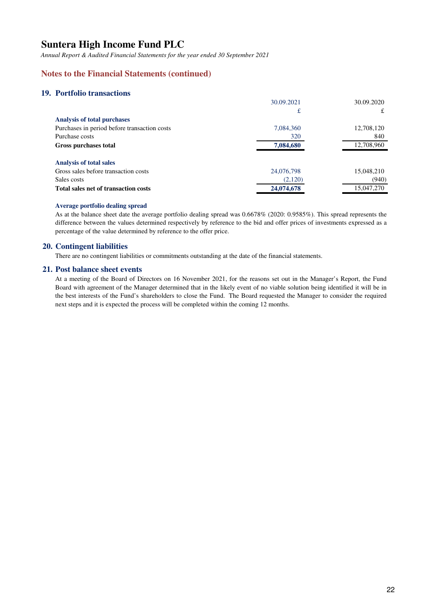*Annual Report & Audited Financial Statements for the year ended 30 September 2021*

## **Notes to the Financial Statements (continued)**

### **19. Portfolio transactions**

|                                              | 30.09.2021 | 30.09.2020 |
|----------------------------------------------|------------|------------|
|                                              | £          | £          |
| <b>Analysis of total purchases</b>           |            |            |
| Purchases in period before transaction costs | 7,084,360  | 12,708,120 |
| Purchase costs                               | 320        | 840        |
| Gross purchases total                        | 7,084,680  | 12,708,960 |
| <b>Analysis of total sales</b>               |            |            |
| Gross sales before transaction costs         | 24,076,798 | 15,048,210 |
| Sales costs                                  | (2,120)    | (940)      |
| Total sales net of transaction costs         | 24,074,678 | 15,047,270 |
|                                              |            |            |

#### **Average portfolio dealing spread**

As at the balance sheet date the average portfolio dealing spread was 0.6678% (2020: 0.9585%). This spread represents the difference between the values determined respectively by reference to the bid and offer prices of investments expressed as a percentage of the value determined by reference to the offer price.

### **20. Contingent liabilities**

There are no contingent liabilities or commitments outstanding at the date of the financial statements.

#### **21. Post balance sheet events**

At a meeting of the Board of Directors on 16 November 2021, for the reasons set out in the Manager's Report, the Fund Board with agreement of the Manager determined that in the likely event of no viable solution being identified it will be in the best interests of the Fund's shareholders to close the Fund. The Board requested the Manager to consider the required next steps and it is expected the process will be completed within the coming 12 months.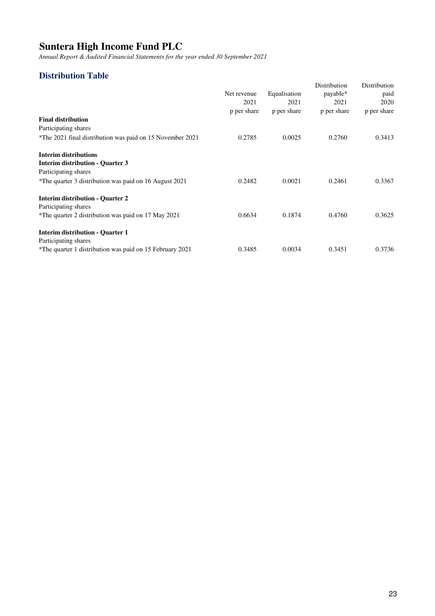*Annual Report & Audited Financial Statements for the year ended 30 September 2021*

# **Distribution Table**

|                                                           |                     |                     | Distribution        | Distribution        |
|-----------------------------------------------------------|---------------------|---------------------|---------------------|---------------------|
|                                                           | Net revenue         | Equalisation        | payable*            | paid                |
|                                                           | 2021<br>p per share | 2021<br>p per share | 2021<br>p per share | 2020<br>p per share |
|                                                           |                     |                     |                     |                     |
| <b>Final distribution</b>                                 |                     |                     |                     |                     |
| Participating shares                                      |                     |                     |                     |                     |
| *The 2021 final distribution was paid on 15 November 2021 | 0.2785              | 0.0025              | 0.2760              | 0.3413              |
| <b>Interim distributions</b>                              |                     |                     |                     |                     |
| <b>Interim distribution - Quarter 3</b>                   |                     |                     |                     |                     |
| Participating shares                                      |                     |                     |                     |                     |
| *The quarter 3 distribution was paid on 16 August 2021    | 0.2482              | 0.0021              | 0.2461              | 0.3367              |
| <b>Interim distribution - Quarter 2</b>                   |                     |                     |                     |                     |
| Participating shares                                      |                     |                     |                     |                     |
| *The quarter 2 distribution was paid on 17 May 2021       | 0.6634              | 0.1874              | 0.4760              | 0.3625              |
| <b>Interim distribution - Quarter 1</b>                   |                     |                     |                     |                     |
| Participating shares                                      |                     |                     |                     |                     |
| *The quarter 1 distribution was paid on 15 February 2021  | 0.3485              | 0.0034              | 0.3451              | 0.3736              |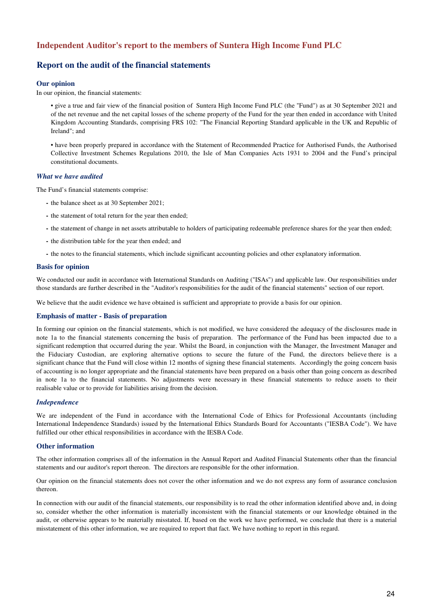### **Independent Auditor's report to the members of Suntera High Income Fund PLC**

### **Report on the audit of the financial statements**

#### **Our opinion**

In our opinion, the financial statements:

• give a true and fair view of the financial position of Suntera High Income Fund PLC (the "Fund") as at 30 September 2021 and of the net revenue and the net capital losses of the scheme property of the Fund for the year then ended in accordance with United Kingdom Accounting Standards, comprising FRS 102: "The Financial Reporting Standard applicable in the UK and Republic of Ireland"; and

• have been properly prepared in accordance with the Statement of Recommended Practice for Authorised Funds, the Authorised Collective Investment Schemes Regulations 2010, the Isle of Man Companies Acts 1931 to 2004 and the Fund's principal constitutional documents.

#### *What we have audited*

The Fund's financial statements comprise:

- **-** the balance sheet as at 30 September 2021;
- **-** the statement of total return for the year then ended;
- **-** the statement of change in net assets attributable to holders of participating redeemable preference shares for the year then ended;
- **-** the distribution table for the year then ended; and
- **-** the notes to the financial statements, which include significant accounting policies and other explanatory information.

#### **Basis for opinion**

We conducted our audit in accordance with International Standards on Auditing ("ISAs") and applicable law. Our responsibilities under those standards are further described in the "Auditor's responsibilities for the audit of the financial statements" section of our report.

We believe that the audit evidence we have obtained is sufficient and appropriate to provide a basis for our opinion.

#### **Emphasis of matter - Basis of preparation**

In forming our opinion on the financial statements, which is not modified, we have considered the adequacy of the disclosures made in note 1a to the financial statements concerning the basis of preparation. The performance of the Fund has been impacted due to a significant redemption that occurred during the year. Whilst the Board, in conjunction with the Manager, the Investment Manager and the Fiduciary Custodian, are exploring alternative options to secure the future of the Fund, the directors believe there is a significant chance that the Fund will close within 12 months of signing these financial statements. Accordingly the going concern basis of accounting is no longer appropriate and the financial statements have been prepared on a basis other than going concern as described in note 1a to the financial statements. No adjustments were necessary in these financial statements to reduce assets to their realisable value or to provide for liabilities arising from the decision.

#### *Independence*

We are independent of the Fund in accordance with the International Code of Ethics for Professional Accountants (including International Independence Standards) issued by the International Ethics Standards Board for Accountants ("IESBA Code"). We have fulfilled our other ethical responsibilities in accordance with the IESBA Code.

#### **Other information**

The other information comprises all of the information in the Annual Report and Audited Financial Statements other than the financial statements and our auditor's report thereon. The directors are responsible for the other information.

Our opinion on the financial statements does not cover the other information and we do not express any form of assurance conclusion thereon.

In connection with our audit of the financial statements, our responsibility is to read the other information identified above and, in doing so, consider whether the other information is materially inconsistent with the financial statements or our knowledge obtained in the audit, or otherwise appears to be materially misstated. If, based on the work we have performed, we conclude that there is a material misstatement of this other information, we are required to report that fact. We have nothing to report in this regard.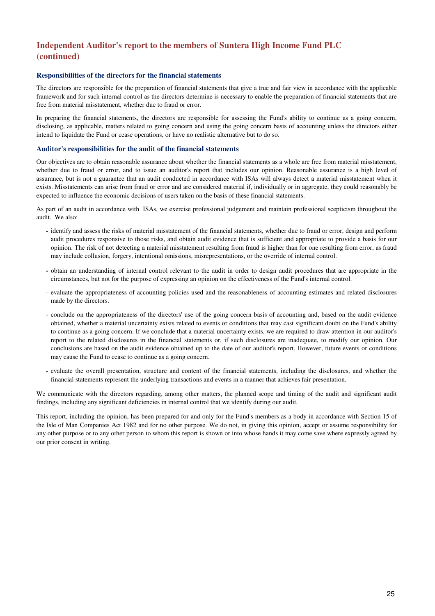# **Independent Auditor's report to the members of Suntera High Income Fund PLC (continued)**

#### **Responsibilities of the directors for the financial statements**

The directors are responsible for the preparation of financial statements that give a true and fair view in accordance with the applicable framework and for such internal control as the directors determine is necessary to enable the preparation of financial statements that are free from material misstatement, whether due to fraud or error.

In preparing the financial statements, the directors are responsible for assessing the Fund's ability to continue as a going concern, disclosing, as applicable, matters related to going concern and using the going concern basis of accounting unless the directors either intend to liquidate the Fund or cease operations, or have no realistic alternative but to do so.

#### **Auditor's responsibilities for the audit of the financial statements**

Our objectives are to obtain reasonable assurance about whether the financial statements as a whole are free from material misstatement, whether due to fraud or error, and to issue an auditor's report that includes our opinion. Reasonable assurance is a high level of assurance, but is not a guarantee that an audit conducted in accordance with ISAs will always detect a material misstatement when it exists. Misstatements can arise from fraud or error and are considered material if, individually or in aggregate, they could reasonably be expected to influence the economic decisions of users taken on the basis of these financial statements.

As part of an audit in accordance with ISAs, we exercise professional judgement and maintain professional scepticism throughout the audit. We also:

- **-** identify and assess the risks of material misstatement of the financial statements, whether due to fraud or error, design and perform audit procedures responsive to those risks, and obtain audit evidence that is sufficient and appropriate to provide a basis for our opinion. The risk of not detecting a material misstatement resulting from fraud is higher than for one resulting from error, as fraud may include collusion, forgery, intentional omissions, misrepresentations, or the override of internal control.
- **-** obtain an understanding of internal control relevant to the audit in order to design audit procedures that are appropriate in the circumstances, but not for the purpose of expressing an opinion on the effectiveness of the Fund's internal control.
- evaluate the appropriateness of accounting policies used and the reasonableness of accounting estimates and related disclosures made by the directors.
- conclude on the appropriateness of the directors' use of the going concern basis of accounting and, based on the audit evidence obtained, whether a material uncertainty exists related to events or conditions that may cast significant doubt on the Fund's ability to continue as a going concern. If we conclude that a material uncertainty exists, we are required to draw attention in our auditor's report to the related disclosures in the financial statements or, if such disclosures are inadequate, to modify our opinion. Our conclusions are based on the audit evidence obtained up to the date of our auditor's report. However, future events or conditions may cause the Fund to cease to continue as a going concern.
- evaluate the overall presentation, structure and content of the financial statements, including the disclosures, and whether the financial statements represent the underlying transactions and events in a manner that achieves fair presentation.

We communicate with the directors regarding, among other matters, the planned scope and timing of the audit and significant audit findings, including any significant deficiencies in internal control that we identify during our audit.

This report, including the opinion, has been prepared for and only for the Fund's members as a body in accordance with Section 15 of the Isle of Man Companies Act 1982 and for no other purpose. We do not, in giving this opinion, accept or assume responsibility for any other purpose or to any other person to whom this report is shown or into whose hands it may come save where expressly agreed by our prior consent in writing.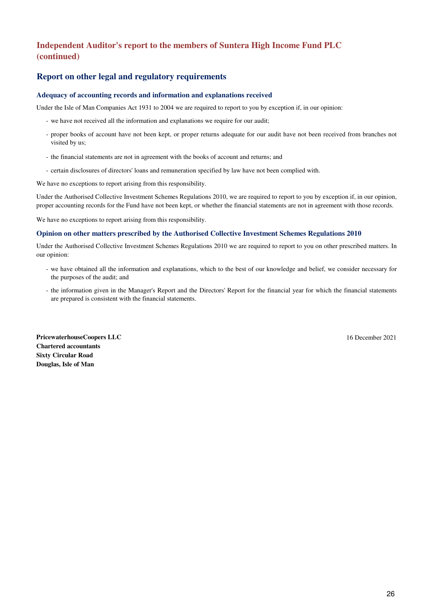# **(continued) Independent Auditor's report to the members of Suntera High Income Fund PLC**

### **Report on other legal and regulatory requirements**

#### **Adequacy of accounting records and information and explanations received**

Under the Isle of Man Companies Act 1931 to 2004 we are required to report to you by exception if, in our opinion:

- we have not received all the information and explanations we require for our audit;
- proper books of account have not been kept, or proper returns adequate for our audit have not been received from branches not visited by us;
- the financial statements are not in agreement with the books of account and returns; and
- certain disclosures of directors' loans and remuneration specified by law have not been complied with.

We have no exceptions to report arising from this responsibility.

Under the Authorised Collective Investment Schemes Regulations 2010, we are required to report to you by exception if, in our opinion, proper accounting records for the Fund have not been kept, or whether the financial statements are not in agreement with those records.

We have no exceptions to report arising from this responsibility.

#### **Opinion on other matters prescribed by the Authorised Collective Investment Schemes Regulations 2010**

Under the Authorised Collective Investment Schemes Regulations 2010 we are required to report to you on other prescribed matters. In our opinion:

- we have obtained all the information and explanations, which to the best of our knowledge and belief, we consider necessary for the purposes of the audit; and
- the information given in the Manager's Report and the Directors' Report for the financial year for which the financial statements are prepared is consistent with the financial statements.

**PricewaterhouseCoopers LLC** 16 December 2021 **Chartered accountants Sixty Circular Road Douglas, Isle of Man**